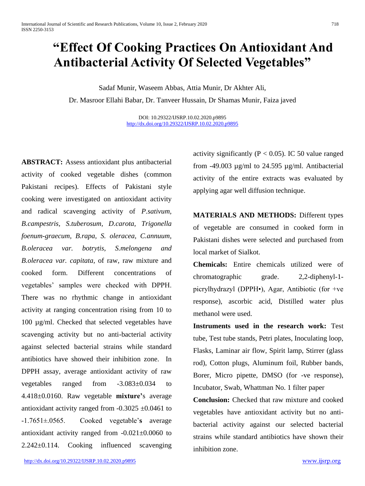# **"Effect Of Cooking Practices On Antioxidant And Antibacterial Activity Of Selected Vegetables"**

Sadaf Munir, Waseem Abbas, Attia Munir, Dr Akhter Ali, Dr. Masroor Ellahi Babar, Dr. Tanveer Hussain, Dr Shamas Munir, Faiza javed

> DOI: 10.29322/IJSRP.10.02.2020.p9895 <http://dx.doi.org/10.29322/IJSRP.10.02.2020.p9895>

**ABSTRACT:** Assess antioxidant plus antibacterial activity of cooked vegetable dishes (common Pakistani recipes). Effects of Pakistani style cooking were investigated on antioxidant activity and radical scavenging activity of *P.sativum, B.campestris, S.tuberosum, D.carota, Trigonella foenum-graecum, B.rapa, S. oleracea, C.annuum, B.oleracea var. botrytis, S.melongena and B.oleracea var. capitata,* of raw, raw mixture and cooked form. Different concentrations of vegetables' samples were checked with DPPH. There was no rhythmic change in antioxidant activity at ranging concentration rising from 10 to 100 µg/ml. Checked that selected vegetables have scavenging activity but no anti-bacterial activity against selected bacterial strains while standard antibiotics have showed their inhibition zone. In DPPH assay, average antioxidant activity of raw vegetables ranged from -3.083±0.034 to 4.418±0.0160. Raw vegetable **mixture'**s average antioxidant activity ranged from  $-0.3025 \pm 0.0461$  to -1.7651±.0565. Cooked vegetable'**s** average antioxidant activity ranged from  $-0.021 \pm 0.0060$  to 2.242±0.114. Cooking influenced scavenging activity significantly ( $P < 0.05$ ). IC 50 value ranged from  $-49.003 \mu g/ml$  to 24.595  $\mu g/ml$ . Antibacterial activity of the entire extracts was evaluated by applying agar well diffusion technique.

**MATERIALS AND METHODS:** Different types of vegetable are consumed in cooked form in Pakistani dishes were selected and purchased from local market of Sialkot.

**Chemicals:** Entire chemicals utilized were of chromatographic grade. 2,2-diphenyl-1 picrylhydrazyl (DPPH•), Agar, Antibiotic (for +ve response), ascorbic acid, Distilled water plus methanol were used.

**Instruments used in the research work:** Test tube, Test tube stands, Petri plates, Inoculating loop, Flasks, Laminar air flow, Spirit lamp, Stirrer (glass rod), Cotton plugs, Aluminum foil, Rubber bands, Borer, Micro pipette, DMSO (for -ve response), Incubator, Swab, Whattman No. 1 filter paper

**Conclusion:** Checked that raw mixture and cooked vegetables have antioxidant activity but no antibacterial activity against our selected bacterial strains while standard antibiotics have shown their inhibition zone.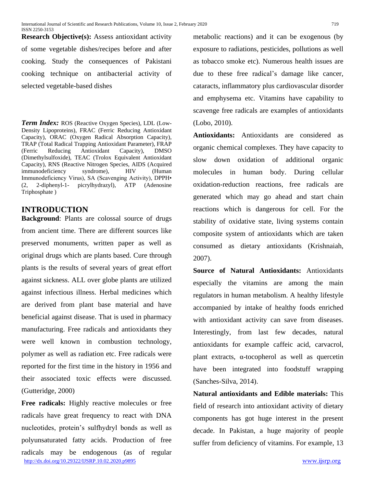**Research Objective(s):** Assess antioxidant activity of some vegetable dishes/recipes before and after cooking. Study the consequences of Pakistani cooking technique on antibacterial activity of selected vegetable-based dishes

*Term Index:* ROS (Reactive Oxygen Species), LDL (Low-Density Lipoproteins), FRAC (Ferric Reducing Antioxidant Capacity), ORAC (Oxygen Radical Absorption Capacity), TRAP (Total Radical Trapping Antioxidant Parameter), FRAP (Ferric Reducing Antioxidant Capacity), DMSO (Dimethylsulfoxide), TEAC (Trolox Equivalent Antioxidant Capacity), RNS (Reactive Nitrogen Species, AIDS (Acquired immunodeficiency syndrome), HIV (Human Immunodeficiency Virus), SA (Scavenging Activity), DPPH•<br>(2, 2-diphenyl-1- picrylhydrazyl), ATP (Adenosine  $(2, 2\text{-diphenyl-1-} picrylhydrazyl), \text{ATP}$ Triphosphate )

#### **INTRODUCTION**

**Background**: Plants are colossal source of drugs from ancient time. There are different sources like preserved monuments, written paper as well as original drugs which are plants based. Cure through plants is the results of several years of great effort against sickness. ALL over globe plants are utilized against infectious illness. Herbal medicines which are derived from plant base material and have beneficial against disease. That is used in pharmacy manufacturing. Free radicals and antioxidants they were well known in combustion technology, polymer as well as radiation etc. Free radicals were reported for the first time in the history in 1956 and their associated toxic effects were discussed. (Gutteridge, 2000)

<http://dx.doi.org/10.29322/IJSRP.10.02.2020.p9895> [www.ijsrp.org](http://ijsrp.org/) **Free radicals:** Highly reactive molecules or free radicals have great frequency to react with DNA nucleotides, protein's sulfhydryl bonds as well as polyunsaturated fatty acids. Production of free radicals may be endogenous (as of regular

metabolic reactions) and it can be exogenous (by exposure to radiations, pesticides, pollutions as well as tobacco smoke etc). Numerous health issues are due to these free radical's damage like cancer, cataracts, inflammatory plus cardiovascular disorder and emphysema etc. Vitamins have capability to scavenge free radicals are examples of antioxidants (Lobo, 2010).

**Antioxidants:** Antioxidants are considered as organic chemical complexes. They have capacity to slow down oxidation of additional organic molecules in human body. During cellular oxidation-reduction reactions, free radicals are generated which may go ahead and start chain reactions which is dangerous for cell. For the stability of oxidative state, living systems contain composite system of antioxidants which are taken consumed as dietary antioxidants (Krishnaiah, 2007).

**Source of Natural Antioxidants:** Antioxidants especially the vitamins are among the main regulators in human metabolism. A healthy lifestyle accompanied by intake of healthy foods enriched with antioxidant activity can save from diseases. Interestingly, from last few decades, natural antioxidants for example caffeic acid, carvacrol, plant extracts, α-tocopherol as well as quercetin have been integrated into foodstuff wrapping (Sanches-Silva, 2014).

**Natural antioxidants and Edible materials:** This field of research into antioxidant activity of dietary components has got huge interest in the present decade. In Pakistan, a huge majority of people suffer from deficiency of vitamins. For example, 13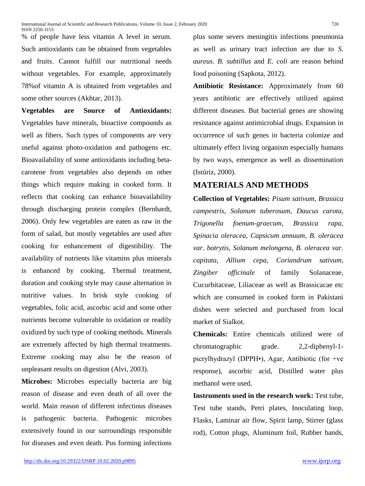% of people have less vitamin A level in serum. Such antioxidants can be obtained from vegetables and fruits. Cannot fulfill our nutritional needs without vegetables. For example, approximately 78%of vitamin A is obtained from vegetables and some other sources (Akhtar, 2013).

**Vegetables are Source of Antioxidants:**  Vegetables have minerals, bioactive compounds as well as fibers. Such types of components are very useful against photo-oxidation and pathogens etc. Bioavailability of some antioxidants including betacarotene from vegetables also depends on other things which require making in cooked form. It reflects that cooking can enhance bioavailability through discharging protein complex (Bernhardt, 2006). Only few vegetables are eaten as raw in the form of salad, but mostly vegetables are used after cooking for enhancement of digestibility. The availability of nutrients like vitamins plus minerals is enhanced by cooking. Thermal treatment, duration and cooking style may cause alternation in nutritive values. In brisk style cooking of vegetables, folic acid, ascorbic acid and some other nutrients become vulnerable to oxidation or readily oxidized by such type of cooking methods. Minerals are extremely affected by high thermal treatments. Extreme cooking may also be the reason of unpleasant results on digestion (Alvi, 2003).

**Microbes:** Microbes especially bacteria are big reason of disease and even death of all over the world. Main reason of different infectious diseases is pathogenic bacteria. Pathogenic microbes extensively found in our surroundings responsible for diseases and even death. Pus forming infections

plus some severs meningitis infections pneumonia as well as urinary tract infection are due to *S. aureus. B. subtillus* and *E. coli* are reason behind food poisoning (Sapkota, 2012).

**Antibiotic Resistance:** Approximately from 60 years antibiotic are effectively utilized against different diseases. But bacterial genes are showing resistance against antimicrobial drugs. Expansion in occurrence of such genes in bacteria colonize and ultimately effect living organism especially humans by two ways, emergence as well as dissemination (Istúriz, 2000).

### **MATERIALS AND METHODS**

**Collection of Vegetables:** *Pisum sativum, Brassica campestris, Solanum tuberosum, Daucus carota, Trigonella foenum-graecum, Brassica rapa, Spinacia oleracea, Capsicum annuum, B. oleracea var. botrytis, Solanum melongena, B. oleracea var. capitata, Allium cepa, Coriandrum sativum, Zingiber officinale* of family Solanaceae, Cucurbitaceae, Liliaceae as well as Brassicacae etc which are consumed in cooked form in Pakistani dishes were selected and purchased from local market of Sialkot.

**Chemicals:** Entire chemicals utilized were of chromatographic grade. 2,2-diphenyl-1 picrylhydrazyl (DPPH•), Agar, Antibiotic (for +ve response), ascorbic acid, Distilled water plus methanol were used.

**Instruments used in the research work:** Test tube, Test tube stands, Petri plates, Inoculating loop, Flasks, Laminar air flow, Spirit lamp, Stirrer (glass rod), Cotton plugs, Aluminum foil, Rubber bands,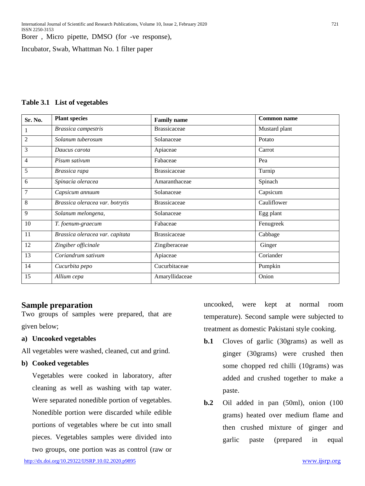Borer , Micro pipette, DMSO (for -ve response),

Incubator, Swab, Whattman No. 1 filter paper

|  | Table 3.1 List of vegetables |
|--|------------------------------|
|--|------------------------------|

| Sr. No. | <b>Plant species</b>            | <b>Family name</b>  | <b>Common name</b> |
|---------|---------------------------------|---------------------|--------------------|
|         | Brassica campestris             | <b>Brassicaceae</b> | Mustard plant      |
| 2       | Solanum tuberosum               | Solanaceae          | Potato             |
| 3       | Daucus carota                   | Apiaceae            | Carrot             |
| 4       | Pisum sativum                   | Fabaceae            | Pea                |
| 5       | Brassica rapa                   | <b>Brassicaceae</b> | Turnip             |
| 6       | Spinacia oleracea               | Amaranthaceae       | Spinach            |
| 7       | Capsicum annuum                 | Solanaceae          | Capsicum           |
| 8       | Brassica oleracea var. botrytis | <b>Brassicaceae</b> | Cauliflower        |
| 9       | Solanum melongena,              | Solanaceae          | Egg plant          |
| 10      | T. foenum-graecum               | Fabaceae            | Fenugreek          |
| 11      | Brassica oleracea var. capitata | <b>Brassicaceae</b> | Cabbage            |
| 12      | Zingiber officinale             | Zingiberaceae       | Ginger             |
| 13      | Coriandrum sativum              | Apiaceae            | Coriander          |
| 14      | Cucurbita pepo                  | Cucurbitaceae       | Pumpkin            |
| 15      | Allium cepa                     | Amaryllidaceae      | Onion              |

#### **Sample preparation**

Two groups of samples were prepared, that are given below;

#### **a) Uncooked vegetables**

All vegetables were washed, cleaned, cut and grind.

#### **b) Cooked vegetables**

Vegetables were cooked in laboratory, after cleaning as well as washing with tap water. Were separated nonedible portion of vegetables. Nonedible portion were discarded while edible portions of vegetables where be cut into small pieces. Vegetables samples were divided into two groups, one portion was as control (raw or

<http://dx.doi.org/10.29322/IJSRP.10.02.2020.p9895> [www.ijsrp.org](http://ijsrp.org/)

uncooked, were kept at normal room temperature). Second sample were subjected to treatment as domestic Pakistani style cooking.

- **b.1** Cloves of garlic (30grams) as well as ginger (30grams) were crushed then some chopped red chilli (10grams) was added and crushed together to make a paste.
- **b.2** Oil added in pan (50ml), onion (100 grams) heated over medium flame and then crushed mixture of ginger and garlic paste (prepared in equal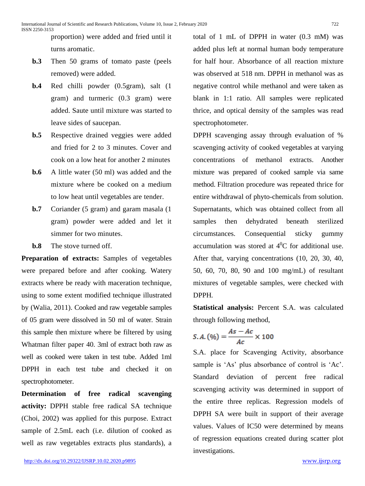proportion) were added and fried until it turns aromatic.

- **b.3** Then 50 grams of tomato paste (peels removed) were added.
- **b.4** Red chilli powder (0.5gram), salt (1 gram) and turmeric (0.3 gram) were added. Saute until mixture was started to leave sides of saucepan.
- **b.5** Respective drained veggies were added and fried for 2 to 3 minutes. Cover and cook on a low heat for another 2 minutes
- **b.6** A little water (50 ml) was added and the mixture where be cooked on a medium to low heat until vegetables are tender.
- **b.7** Coriander (5 gram) and garam masala (1 gram) powder were added and let it simmer for two minutes.
- **b.8** The stove turned off.

**Preparation of extracts:** Samples of vegetables were prepared before and after cooking. Watery extracts where be ready with maceration technique, using to some extent modified technique illustrated by (Walia, 2011). Cooked and raw vegetable samples of 05 gram were dissolved in 50 ml of water. Strain this sample then mixture where be filtered by using Whatman filter paper 40. 3ml of extract both raw as well as cooked were taken in test tube. Added 1ml DPPH in each test tube and checked it on spectrophotometer.

**Determination of free radical scavenging activity:** DPPH stable free radical SA technique (Choi, 2002) was applied for this purpose. Extract sample of 2.5mL each (i.e. dilution of cooked as well as raw vegetables extracts plus standards), a total of 1 mL of DPPH in water (0.3 mM) was added plus left at normal human body temperature for half hour. Absorbance of all reaction mixture was observed at 518 nm. DPPH in methanol was as negative control while methanol and were taken as blank in 1:1 ratio. All samples were replicated thrice, and optical density of the samples was read spectrophotometer.

DPPH scavenging assay through evaluation of % scavenging activity of cooked vegetables at varying concentrations of methanol extracts. Another mixture was prepared of cooked sample via same method. Filtration procedure was repeated thrice for entire withdrawal of phyto-chemicals from solution. Supernatants, which was obtained collect from all samples then dehydrated beneath sterilized circumstances. Consequential sticky gummy accumulation was stored at  $4^{0}C$  for additional use. After that, varying concentrations (10, 20, 30, 40, 50, 60, 70, 80, 90 and 100 mg/mL) of resultant mixtures of vegetable samples, were checked with DPPH*.*

**Statistical analysis:** Percent S.A. was calculated through following method,

$$
S.A. (\%) = \frac{As - Ac}{Ac} \times 100
$$

S.A. place for Scavenging Activity, absorbance sample is 'As' plus absorbance of control is 'Ac'. Standard deviation of percent free radical scavenging activity was determined in support of the entire three replicas. Regression models of DPPH SA were built in support of their average values. Values of IC50 were determined by means of regression equations created during scatter plot investigations.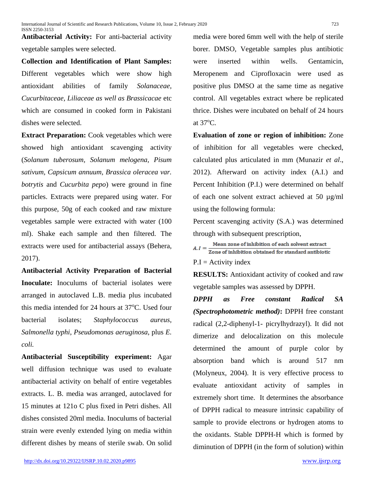**Antibacterial Activity:** For anti-bacterial activity vegetable samples were selected.

**Collection and Identification of Plant Samples:**  Different vegetables which were show high antioxidant abilities of family *Solanaceae, Cucurbitaceae, Liliaceae as well as Brassicacae* etc which are consumed in cooked form in Pakistani dishes were selected.

**Extract Preparation:** Cook vegetables which were showed high antioxidant scavenging activity (*Solanum tuberosum, Solanum melogena, Pisum sativum, Capsicum annuum, Brassica oleracea var. botrytis* and *Cucurbita pepo*) were ground in fine particles. Extracts were prepared using water. For this purpose, 50g of each cooked and raw mixture vegetables sample were extracted with water (100 ml). Shake each sample and then filtered. The extracts were used for antibacterial assays (Behera, 2017).

**Antibacterial Activity Preparation of Bacterial Inoculate:** Inoculums of bacterial isolates were arranged in autoclaved L.B. media plus incubated this media intended for 24 hours at  $37^{\circ}$ C. Used four bacterial isolates; *Staphylococcus aureus*, *Salmonella typhi*, *Pseudomonas aeruginosa*, plus *E. coli.*

**Antibacterial Susceptibility experiment:** Agar well diffusion technique was used to evaluate antibacterial activity on behalf of entire vegetables extracts. L. B. media was arranged, autoclaved for 15 minutes at 121o C plus fixed in Petri dishes. All dishes consisted 20ml media. Inoculums of bacterial strain were evenly extended lying on media within different dishes by means of sterile swab. On solid media were bored 6mm well with the help of sterile borer. DMSO, Vegetable samples plus antibiotic were inserted within wells. Gentamicin, Meropenem and Ciprofloxacin were used as positive plus DMSO at the same time as negative control. All vegetables extract where be replicated thrice. Dishes were incubated on behalf of 24 hours at 37<sup>o</sup>C.

**Evaluation of zone or region of inhibition:** Zone of inhibition for all vegetables were checked, calculated plus articulated in mm (Munazir *et al*., 2012). Afterward on activity index (A.I.) and Percent Inhibition (P.I.) were determined on behalf of each one solvent extract achieved at 50 µg/ml using the following formula:

Percent scavenging activity (S.A.) was determined through with subsequent prescription,

Mean zone of inhibition of each solvent extract  $A. I = \frac{Mean \space zone \space or \space minor}$  and  $A. I = \frac{Total \space or \space contract}{}$ 

 $P.I =$  Activity index

**RESULTS:** Antioxidant activity of cooked and raw vegetable samples was assessed by DPPH.

*DPPH as Free constant Radical SA (Spectrophotometric method)***:** DPPH free constant radical (2,2-diphenyl-1- picrylhydrazyl). It did not dimerize and delocalization on this molecule determined the amount of purple color by absorption band which is around 517 nm (Molyneux, 2004). It is very effective process to evaluate antioxidant activity of samples in extremely short time. It determines the absorbance of DPPH radical to measure intrinsic capability of sample to provide electrons or hydrogen atoms to the oxidants. Stable DPPH-H which is formed by diminution of DPPH (in the form of solution) within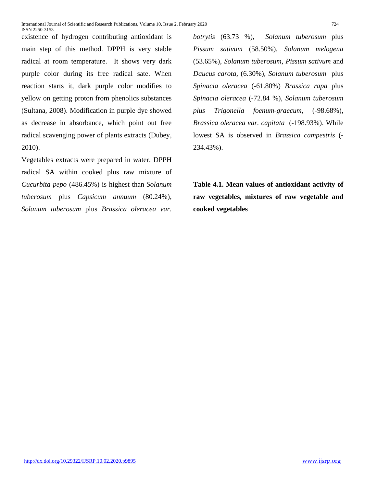existence of hydrogen contributing antioxidant is main step of this method. DPPH is very stable radical at room temperature. It shows very dark purple color during its free radical sate. When reaction starts it, dark purple color modifies to yellow on getting proton from phenolics substances (Sultana, 2008). Modification in purple dye showed as decrease in absorbance, which point out free radical scavenging power of plants extracts (Dubey, 2010).

Vegetables extracts were prepared in water. DPPH radical SA within cooked plus raw mixture of *Cucurbita pepo* (486.45%) is highest than *Solanum tuberosum* plus *Capsicum annuum* (80.24%), *Solanum tuberosum* plus *Brassica oleracea var.* 

*botrytis* (63.73 %), *Solanum tuberosum* plus *Pissum sativum* (58.50%), *Solanum melogena* (53.65%), *Solanum tuberosum, Pissum sativum* and *Daucus carota,* (6.30%), *Solanum tuberosum* plus *Spinacia oleracea* (-61.80%) *Brassica rapa* plus *Spinacia oleracea* (-72.84 %), *Solanum tuberosum plus Trigonella foenum-graecum,* (-98.68%), *Brassica oleracea var. capitata* (-198.93%). While lowest SA is observed in *Brassica campestris* (- 234.43%).

**Table 4.1. Mean values of antioxidant activity of raw vegetables***,* **mixtures of raw vegetable and cooked vegetables**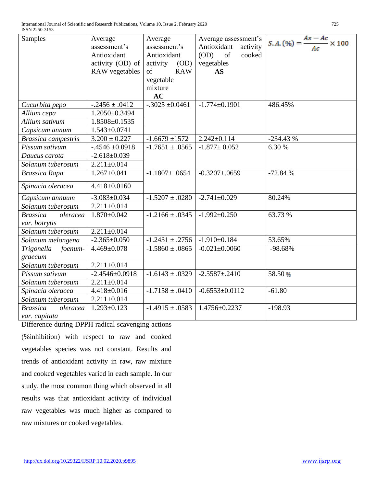| <b>Samples</b>              | Average<br>assessment's<br>Antioxidant | Average<br>assessment's<br>Antioxidant | Average assessment's<br>Antioxidant<br>activity<br>OD)<br>of<br>cooked | $S.A. (\% ) = \frac{As - Ac}{Ac} \times 100$ |  |
|-----------------------------|----------------------------------------|----------------------------------------|------------------------------------------------------------------------|----------------------------------------------|--|
|                             | activity (OD) of                       | activity<br>(OD)                       | vegetables                                                             |                                              |  |
|                             | <b>RAW</b> vegetables                  | of<br><b>RAW</b>                       | <b>AS</b>                                                              |                                              |  |
|                             |                                        | vegetable                              |                                                                        |                                              |  |
|                             |                                        | mixture                                |                                                                        |                                              |  |
|                             |                                        | <b>AC</b>                              |                                                                        |                                              |  |
| Cucurbita pepo              | $-0.2456 \pm 0.0412$                   | $-.3025 \pm 0.0461$                    | $-1.774\pm0.1901$                                                      | 486.45%                                      |  |
| Allium cepa                 | 1.2050±0.3494                          |                                        |                                                                        |                                              |  |
| Allium sativum              | 1.8508±0.1535                          |                                        |                                                                        |                                              |  |
| Capsicum annum              | $1.543 \pm 0.0741$                     |                                        |                                                                        |                                              |  |
| <b>Brassica</b> campestris  | $3.200 \pm 0.227$                      | $-1.6679 + 1572$                       | $2.242 \pm 0.114$                                                      | $-234.43%$                                   |  |
| Pissum sativum              | $-.4546 \pm 0.0918$                    | $-1.7651 \pm .0565$                    | $-1.877 \pm 0.052$                                                     | 6.30 %                                       |  |
| Daucus carota               | $-2.618 \pm 0.039$                     |                                        |                                                                        |                                              |  |
| Solanum tuberosum           | $2.211 \pm 0.014$                      |                                        |                                                                        |                                              |  |
| <b>Brassica Rapa</b>        | $1.267 \pm 0.041$                      | $-1.1807 \pm .0654$                    | $-0.3207 \pm 0.0659$                                                   | $-72.84%$                                    |  |
| Spinacia oleracea           | $4.418 \pm 0.0160$                     |                                        |                                                                        |                                              |  |
| Capsicum annuum             | $-3.083 \pm 0.034$                     | $-1.5207 \pm .0280$                    | $-2.741 \pm 0.029$                                                     | 80.24%                                       |  |
| Solanum tuberosum           | $2.211 \pm 0.014$                      |                                        |                                                                        |                                              |  |
| <b>Brassica</b><br>oleracea | $1.870 \pm 0.042$                      | $-1.2166 \pm .0345$                    | $-1.992 \pm 0.250$                                                     | 63.73 %                                      |  |
| var. botrytis               |                                        |                                        |                                                                        |                                              |  |
| Solanum tuberosum           | $2.211 \pm 0.014$                      |                                        |                                                                        |                                              |  |
| Solanum melongena           | $-2.365 \pm 0.050$                     | $-1.2431 \pm .2756$                    | $-1.910\pm0.184$                                                       | 53.65%                                       |  |
| Trigonella<br>foenum-       | $4.469 \pm 0.078$                      | $-1.5860 \pm .0865$                    | $-0.021 \pm 0.0060$                                                    | -98.68%                                      |  |
| graecum                     |                                        |                                        |                                                                        |                                              |  |
| Solanum tuberosum           | $2.211 \pm 0.014$                      |                                        |                                                                        |                                              |  |
| Pissum sativum              | $-2.4546 \pm 0.0918$                   | $-1.6143 \pm .0329$                    | $-2.5587 \pm 0.2410$                                                   | 58.50 %                                      |  |
| Solanum tuberosum           | $2.211 \pm 0.014$                      |                                        |                                                                        |                                              |  |
| Spinacia oleracea           | $4.418 \pm 0.016$                      | $-1.7158 \pm .0410$                    | $-0.6553\pm0.0112$                                                     | $-61.80$                                     |  |
| Solanum tuberosum           | $2.211 \pm 0.014$                      |                                        |                                                                        |                                              |  |
| <b>Brassica</b><br>oleracea | $1.293 \pm 0.123$                      | $-1.4915 \pm .0583$                    | 1.4756±0.2237                                                          | $-198.93$                                    |  |
| var. capitata               |                                        |                                        |                                                                        |                                              |  |

Difference during DPPH radical scavenging actions

(%inhibition) with respect to raw and cooked vegetables species was not constant. Results and trends of antioxidant activity in raw, raw mixture and cooked vegetables varied in each sample. In our study, the most common thing which observed in all results was that antioxidant activity of individual raw vegetables was much higher as compared to raw mixtures or cooked vegetables.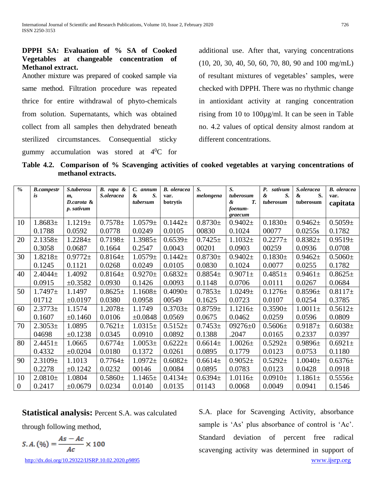#### **DPPH SA: Evaluation of % SA of Cooked Vegetables at changeable concentration of Methanol extract.**

Another mixture was prepared of cooked sample via same method. Filtration procedure was repeated thrice for entire withdrawal of phyto-chemicals from solution. Supernatants, which was obtained collect from all samples then dehydrated beneath sterilized circumstances. Consequential sticky gummy accumulation was stored at  $4^0C$  for

additional use. After that, varying concentrations (10, 20, 30, 40, 50, 60, 70, 80, 90 and 100 mg/mL) of resultant mixtures of vegetables' samples, were checked with DPPH*.* There was no rhythmic change in antioxidant activity at ranging concentration rising from 10 to 100µg/ml. It can be seen in Table no. 4.2 values of optical density almost random at different concentrations.

**Table 4.2. Comparison of % Scavenging activities of cooked vegetables at varying concentrations of methanol extracts.**

| $\frac{0}{0}$  | <b>B.campestr</b> | S.tuberosu   | $B.$ rapa $\&$ | C. annum     | <b>B.</b> oleracea | S.           | S.                      | P. sativum   | S.oleracea              | <b>B.</b> oleracea |
|----------------|-------------------|--------------|----------------|--------------|--------------------|--------------|-------------------------|--------------|-------------------------|--------------------|
|                | is                | m,           | S.oleracea     | &<br>S.      | var.               | melongena    | tuberosum               | &<br>S.      | $\boldsymbol{\&}$<br>S. | var.               |
|                |                   | D.carota &   |                | tubersum     | botrytis           |              | $T_{\rm h}$<br>&        | tuberosum    | tuberosum               | capitata           |
|                |                   | p. sativum   |                |              |                    |              | foenum-                 |              |                         |                    |
| 10             | $1.8683\pm$       | $1.1219 \pm$ | $0.7578 \pm$   | $1.0579 \pm$ | $0.1442 +$         | $0.8730 +$   | graecum<br>$0.9402 \pm$ | $0.1830\pm$  | $0.9462 \pm$            | $0.5059\pm$        |
|                |                   |              |                |              |                    |              |                         |              |                         |                    |
|                | 0.1788            | 0.0592       | 0.0778         | 0.0249       | 0.0105             | 00830        | 0.1024                  | 00077        | 0.0255s                 | 0.1782             |
| 20             | $2.1358 +$        | $1.2284+$    | $0.7198 +$     | $1.3985\pm$  | $0.6539\pm$        | $0.7425 \pm$ | $1.1032+$               | $0.2277\pm$  | $0.8382 +$              | $0.9519\pm$        |
|                | 0.3058            | 0.0687       | 0.1664         | 0.2547       | 0.0043             | 00201        | 0.0903                  | 00259        | 0.0936                  | 0.0708             |
| 30             | $1.8218 +$        | $0.9772 +$   | $0.8164\pm$    | $1.0579 \pm$ | $0.1442 +$         | $0.8730+$    | $0.9402 +$              | $0.1830\pm$  | $0.9462 \pm$            | $0.5060 \pm$       |
|                | 0.1245            | 0.1121       | 0.0268         | 0.0249       | 0.0105             | 0.0830       | 0.1024                  | 0.0077       | 0.0255                  | 0.1782             |
| 40             | $2.4044 \pm$      | 1.4092       | $0.8164\pm$    | $0.9270 \pm$ | $0.6832+$          | $0.8854+$    | $0.9071 \pm$            | $0.4851\pm$  | $0.9461 \pm$            | $0.8625 \pm$       |
|                | 0.0915            | ±0.3582      | 0.0930         | 0.1426       | 0.0093             | 0.1148       | 0.0706                  | 0.0111       | 0.0267                  | 0.0684             |
| 50             | $1.7497 \pm$      | 1.1497       | $0.8625 \pm$   | $1.1608 \pm$ | $0.4090 \pm$       | $0.7853\pm$  | $1.0249 \pm$            | $0.1276\pm$  | $0.8596\pm$             | $0.8117 +$         |
|                | 01712             | ±0.0197      | 0.0380         | 0.0958       | 00549              | 0.1625       | 0.0723                  | 0.0107       | 0.0254                  | 0.3785             |
| 60             | $2.3773+$         | 1.1574       | $1.2078 \pm$   | 1.1749       | $0.3703\pm$        | $0.8759 +$   | $1.1216 \pm$            | $0.3590 \pm$ | $1.0011 \pm$            | $0.5612\pm$        |
|                | 0.1607            | ±0.1460      | 0.0106         | ±0.0848      | 0.0569             | 0.0675       | 0.0462                  | 0.0259       | 0.0596                  | 0.0809             |
| 70             | $2.3053\pm$       | 1.0895       | $0.7621 \pm$   | $1.0315\pm$  | $0.5152+$          | $0.7453\pm$  | $09276 \pm 0$           | $0.5606\pm$  | $0.9187 \pm$            | $0.6038\pm$        |
|                | 04698             | ±0.1238      | 0.0345         | 0.0910       | 0.0892             | 0.1388       | .2047                   | 0.0165       | 0.2337                  | 0.0397             |
| 80             | $2.4451 \pm$      | 1.0665       | $0.6774\pm$    | $1.0053\pm$  | $0.6222 \pm$       | $0.6614\pm$  | $1.0026\pm$             | $0.5292 \pm$ | $0.9896\pm$             | $0.6921 \pm$       |
|                | 0.4332            | ±0.0204      | 0.0180         | 0.1372       | 0.0261             | 0.0895       | 0.1779                  | 0.0123       | 0.0753                  | 0.1180             |
| 90             | $2.3109\pm$       | 1.1013       | $0.7764 \pm$   | $1.0972 \pm$ | $0.6082\pm$        | $0.6614\pm$  | $0.9052\pm$             | $0.5292 \pm$ | $1.0040 \pm$            | $0.6376\pm$        |
|                | 0.2278            | ±0.1242      | 0.0232         | 00146        | 0.0084             | 0.0895       | 0.0783                  | 0.0123       | 0.0428                  | 0.0918             |
| 10             | $2.0810+$         | 1.0804       | $0.5860 \pm$   | $1.1465\pm$  | $0.4134\pm$        | $0.6394\pm$  | $1.0116\pm$             | $0.0910\pm$  | $1.1861\pm$             | $0.5556\pm$        |
| $\overline{0}$ | 0.2417            | ±0.0679      | 0.0234         | 0.0140       | 0.0135             | 01143        | 0.0068                  | 0.0049       | 0.0941                  | 0.1546             |

**Statistical analysis:** Percent S.A. was calculated

through following method,

$$
S.A. (\%) = \frac{As - Ac}{Ac} \times 100
$$

<http://dx.doi.org/10.29322/IJSRP.10.02.2020.p9895> [www.ijsrp.org](http://ijsrp.org/) S.A. place for Scavenging Activity, absorbance sample is 'As' plus absorbance of control is 'Ac'. Standard deviation of percent free radical scavenging activity was determined in support of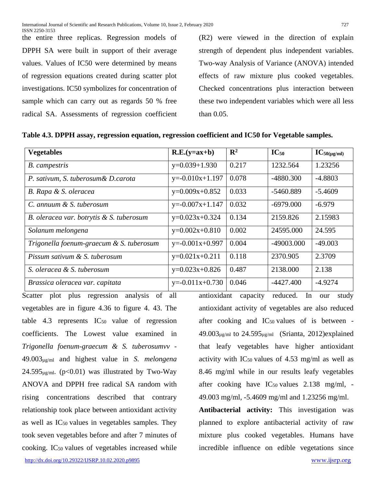the entire three replicas. Regression models of DPPH SA were built in support of their average values. Values of IC50 were determined by means of regression equations created during scatter plot investigations. IC50 symbolizes for concentration of sample which can carry out as regards 50 % free radical SA. Assessments of regression coefficient

(R2) were viewed in the direction of explain strength of dependent plus independent variables. Two-way Analysis of Variance (ANOVA) intended effects of raw mixture plus cooked vegetables. Checked concentrations plus interaction between these two independent variables which were all less than 0.05.

| <b>Vegetables</b>                        | $R.E.(y=ax+b)$    | $\mathbf{R}^2$ | $IC_{50}$    | $IC_{50(\mu g/ml)}$ |
|------------------------------------------|-------------------|----------------|--------------|---------------------|
| <b>B.</b> campestris                     | $y=0.039+1.930$   | 0.217          | 1232.564     | 1.23256             |
| P. sativum, S. tuberosum & D. carota     | $y=0.010x+1.197$  | 0.078          | $-4880.300$  | $-4.8803$           |
| B. Rapa & S. oleracea                    | $y=0.009x+0.852$  | 0.033          | -5460.889    | $-5.4609$           |
| C. annuum & S. tuberosum                 | $y=0.007x+1.147$  | 0.032          | $-6979.000$  | $-6.979$            |
| B. oleracea var. botrytis & S. tuberosum | $y=0.023x+0.324$  | 0.134          | 2159.826     | 2.15983             |
| Solanum melongena                        | $y=0.002x+0.810$  | 0.002          | 24595.000    | 24.595              |
| Trigonella foenum-graecum & S. tuberosum | $y=0.001x+0.997$  | 0.004          | $-49003.000$ | $-49.003$           |
| Pissum sativum & S. tuberosum            | $y=0.021x+0.211$  | 0.118          | 2370.905     | 2.3709              |
| S. oleracea & S. tuberosum               | $y=0.023x+0.826$  | 0.487          | 2138.000     | 2.138               |
| Brassica oleracea var. capitata          | $y=-0.011x+0.730$ | 0.046          | $-4427.400$  | $-4.9274$           |

| Table 4.3. DPPH assay, regression equation, regression coefficient and IC50 for Vegetable samples. |  |  |  |  |
|----------------------------------------------------------------------------------------------------|--|--|--|--|
|                                                                                                    |  |  |  |  |

Scatter plot plus regression analysis of all vegetables are in figure 4.36 to figure 4. 43. The table  $4.3$  represents  $IC_{50}$  value of regression coefficients. The Lowest value examined in *Trigonella foenum-graecum & S. tuberosumvv* - 49.003µg/ml and highest value in *S. melongena*   $24.595_{\mu\text{g/mL}}$  (p<0.01) was illustrated by Two-Way ANOVA and DPPH free radical SA random with rising concentrations described that contrary relationship took place between antioxidant activity as well as IC<sup>50</sup> values in vegetables samples. They took seven vegetables before and after 7 minutes of cooking. IC<sup>50</sup> values of vegetables increased while antioxidant capacity reduced. In our study antioxidant activity of vegetables are also reduced after cooking and  $IC_{50}$  values of is between - $49.003<sub>µg/ml</sub>$  to  $24.595<sub>µg/ml</sub>$  (Srianta, 2012)explained that leafy vegetables have higher antioxidant activity with  $IC_{50}$  values of 4.53 mg/ml as well as 8.46 mg/ml while in our results leafy vegetables after cooking have IC<sup>50</sup> values 2.138 mg/ml, - 49.003 mg/ml, -5.4609 mg/ml and 1.23256 mg/ml.

**Antibacterial activity:** This investigation was planned to explore antibacterial activity of raw mixture plus cooked vegetables. Humans have incredible influence on edible vegetations since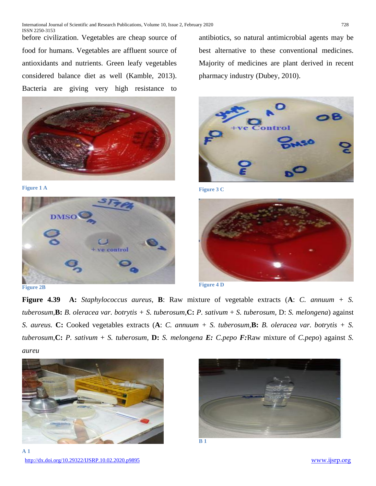before civilization. Vegetables are cheap source of food for humans. Vegetables are affluent source of antioxidants and nutrients. Green leafy vegetables considered balance diet as well (Kamble, 2013). Bacteria are giving very high resistance to



**Figure 1 A**





antibiotics, so natural antimicrobial agents may be best alternative to these conventional medicines. Majority of medicines are plant derived in recent pharmacy industry (Dubey, 2010).



**Figure 3 C**



**Figure 4.39 A:** *Staphylococcus aureus*, **B**: Raw mixture of vegetable extracts (**A**: *C. annuum + S. tuberosum,***B:** *B. oleracea var. botrytis + S. tuberosum,***C:** *P. sativum* + *S. tuberosum,* D: *S. melongena*) against

*S. aureus.* **C:** Cooked vegetables extracts (**A**: *C. annuum + S. tuberosum,***B:** *B. oleracea var. botrytis + S. tuberosum,***C:** *P. sativum* + *S. tuberosum,* **D:** *S. melongena E: C.pepo F:*Raw mixture of *C.pepo*) against *S. aureu*





**B 1**

<http://dx.doi.org/10.29322/IJSRP.10.02.2020.p9895> [www.ijsrp.org](http://ijsrp.org/) **A 1**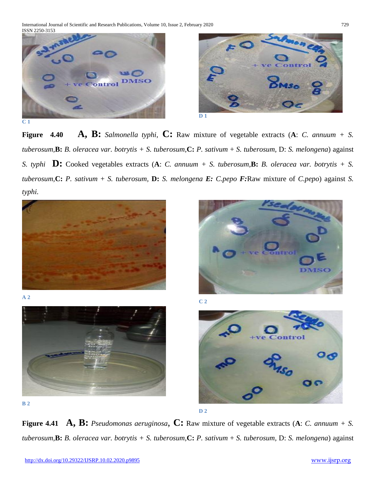International Journal of Scientific and Research Publications, Volume 10, Issue 2, February 2020 729 ISSN 2250-3153



**Figure 4.40 A, B:** *Salmonella typhi*, **C:** Raw mixture of vegetable extracts (**A**: *C. annuum + S. tuberosum,***B:** *B. oleracea var. botrytis + S. tuberosum,***C:** *P. sativum* + *S. tuberosum,* D: *S. melongena*) against *S. typhi* **D:** Cooked vegetables extracts (**A**: *C. annuum + S. tuberosum,***B:** *B. oleracea var. botrytis + S. tuberosum,***C:** *P. sativum* + *S. tuberosum,* **D:** *S. melongena E: C.pepo F:*Raw mixture of *C.pepo*) against *S. typhi.*





**Figure 4.41 A, B:** *Pseudomonas aeruginosa*, **C:** Raw mixture of vegetable extracts (**A**: *C. annuum + S. tuberosum,***B:** *B. oleracea var. botrytis + S. tuberosum,***C:** *P. sativum* + *S. tuberosum,* D: *S. melongena*) against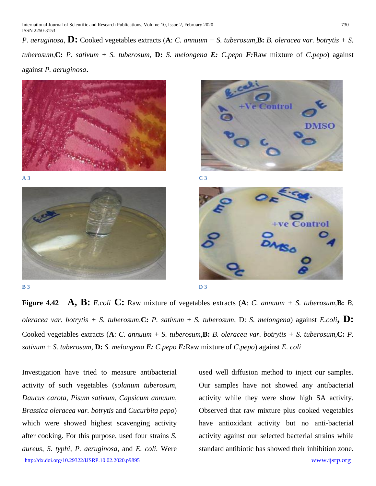*P. aeruginosa,* **D:** Cooked vegetables extracts (**A**: *C. annuum + S. tuberosum,***B:** *B. oleracea var. botrytis + S. tuberosum,***C:** *P. sativum* + *S. tuberosum,* **D:** *S. melongena E: C.pepo F:*Raw mixture of *C.pepo*) against against *P. aeruginosa*.



**A 3**





**C 3**



**D 3**

**Figure 4.42 A, B:** *E.coli* **C:** Raw mixture of vegetables extracts (**A**: *C. annuum + S. tuberosum,***B:** *B. oleracea var. botrytis + S. tuberosum,***C:** *P. sativum* + *S. tuberosum,* D: *S. melongena*) against *E.coli***, D:** Cooked vegetables extracts (**A**: *C. annuum + S. tuberosum,***B:** *B. oleracea var. botrytis + S. tuberosum,***C:** *P. sativum* + *S. tuberosum,* **D:** *S. melongena E: C.pepo F:*Raw mixture of *C.pepo*) against *E. coli*

<http://dx.doi.org/10.29322/IJSRP.10.02.2020.p9895> [www.ijsrp.org](http://ijsrp.org/) Investigation have tried to measure antibacterial activity of such vegetables (*solanum tuberosum, Daucus carota, Pisum sativum, Capsicum annuum, Brassica oleracea var. botrytis* and *Cucurbita pepo*) which were showed highest scavenging activity after cooking. For this purpose, used four strains *S. aureus*, *S. typhi*, *P. aeruginosa*, and *E. coli.* Were

used well diffusion method to inject our samples. Our samples have not showed any antibacterial activity while they were show high SA activity. Observed that raw mixture plus cooked vegetables have antioxidant activity but no anti-bacterial activity against our selected bacterial strains while standard antibiotic has showed their inhibition zone.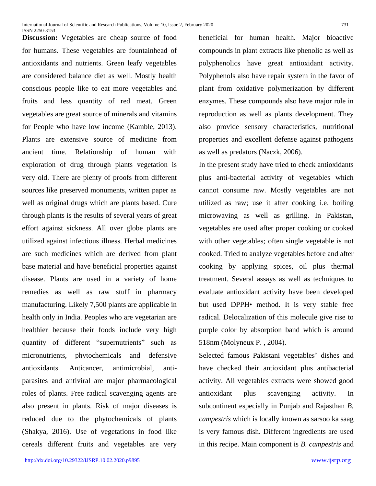**Discussion:** Vegetables are cheap source of food for humans. These vegetables are fountainhead of antioxidants and nutrients. Green leafy vegetables are considered balance diet as well. Mostly health conscious people like to eat more vegetables and fruits and less quantity of red meat. Green vegetables are great source of minerals and vitamins for People who have low income (Kamble, 2013). Plants are extensive source of medicine from ancient time. Relationship of human with exploration of drug through plants vegetation is very old. There are plenty of proofs from different sources like preserved monuments, written paper as well as original drugs which are plants based. Cure through plants is the results of several years of great effort against sickness. All over globe plants are utilized against infectious illness. Herbal medicines are such medicines which are derived from plant base material and have beneficial properties against disease. Plants are used in a variety of home remedies as well as raw stuff in pharmacy manufacturing. Likely 7,500 plants are applicable in health only in India. Peoples who are vegetarian are healthier because their foods include very high quantity of different "supernutrients" such as micronutrients, phytochemicals and defensive antioxidants. Anticancer, antimicrobial, antiparasites and antiviral are major pharmacological roles of plants. Free radical scavenging agents are also present in plants. Risk of major diseases is reduced due to the phytochemicals of plants (Shakya, 2016). Use of vegetations in food like cereals different fruits and vegetables are very

beneficial for human health. Major bioactive compounds in plant extracts like phenolic as well as polyphenolics have great antioxidant activity. Polyphenols also have repair system in the favor of plant from oxidative polymerization by different enzymes. These compounds also have major role in reproduction as well as plants development. They also provide sensory characteristics, nutritional properties and excellent defense against pathogens as well as predators (Naczk, 2006).

In the present study have tried to check antioxidants plus anti-bacterial activity of vegetables which cannot consume raw. Mostly vegetables are not utilized as raw; use it after cooking i.e. boiling microwaving as well as grilling. In Pakistan, vegetables are used after proper cooking or cooked with other vegetables; often single vegetable is not cooked. Tried to analyze vegetables before and after cooking by applying spices, oil plus thermal treatment. Several assays as well as techniques to evaluate antioxidant activity have been developed but used DPPH• method. It is very stable free radical. Delocalization of this molecule give rise to purple color by absorption band which is around 518nm (Molyneux P. , 2004).

Selected famous Pakistani vegetables' dishes and have checked their antioxidant plus antibacterial activity. All vegetables extracts were showed good antioxidant plus scavenging activity. In subcontinent especially in Punjab and Rajasthan *B. campestris* which is locally known as sarsoo ka saag is very famous dish. Different ingredients are used in this recipe. Main component is *B. campestris* and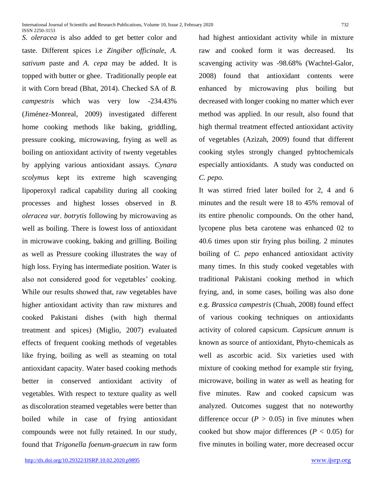*S. oleracea* is also added to get better color and taste. Different spices i.e *Zingiber officinale, A. sativum* paste and *A. cepa* may be added. It is topped with butter or ghee. Traditionally people eat it with Corn bread (Bhat, 2014). Checked SA of *B. campestris* which was very low -234.43% (Jiménez‐Monreal, 2009) investigated different home cooking methods like baking, griddling, pressure cooking, microwaving, frying as well as boiling on antioxidant activity of twenty vegetables by applying various antioxidant assays. *Cynara scolymus* kept its extreme high scavenging lipoperoxyl radical capability during all cooking processes and highest losses observed in *B. oleracea var. botrytis* following by microwaving as well as boiling. There is lowest loss of antioxidant in microwave cooking, baking and grilling. Boiling as well as Pressure cooking illustrates the way of high loss. Frying has intermediate position. Water is also not considered good for vegetables' cooking. While our results showed that, raw vegetables have higher antioxidant activity than raw mixtures and cooked Pakistani dishes (with high thermal treatment and spices) (Miglio, 2007) evaluated effects of frequent cooking methods of vegetables like frying, boiling as well as steaming on total antioxidant capacity. Water based cooking methods better in conserved antioxidant activity of vegetables. With respect to texture quality as well as discoloration steamed vegetables were better than boiled while in case of frying antioxidant compounds were not fully retained. In our study, found that *Trigonella foenum-graecum* in raw form had highest antioxidant activity while in mixture raw and cooked form it was decreased. Its scavenging activity was -98.68% (Wachtel-Galor, 2008) found that antioxidant contents were enhanced by microwaving plus boiling but decreased with longer cooking no matter which ever method was applied. In our result, also found that high thermal treatment effected antioxidant activity of vegetables (Azizah, 2009) found that different cooking styles strongly changed pyhtochemicals especially antioxidants. A study was conducted on *C. pepo.* 

It was stirred fried later boiled for 2, 4 and 6 minutes and the result were 18 to 45% removal of its entire phenolic compounds. On the other hand, lycopene plus beta carotene was enhanced 02 to 40.6 times upon stir frying plus boiling. 2 minutes boiling of *C. pepo* enhanced antioxidant activity many times. In this study cooked vegetables with traditional Pakistani cooking method in which frying, and, in some cases, boiling was also done e.g. *Brassica campestris* (Chuah, 2008) found effect of various cooking techniques on antioxidants activity of colored capsicum. *Capsicum annum* is known as source of antioxidant, Phyto-chemicals as well as ascorbic acid. Six varieties used with mixture of cooking method for example stir frying, microwave, boiling in water as well as heating for five minutes. Raw and cooked capsicum was analyzed. Outcomes suggest that no noteworthy difference occur ( $P > 0.05$ ) in five minutes when cooked but show major differences ( $P < 0.05$ ) for five minutes in boiling water, more decreased occur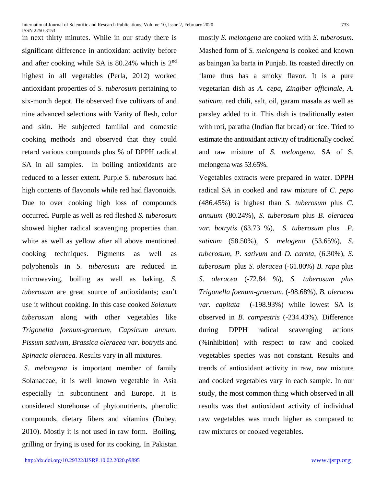in next thirty minutes. While in our study there is significant difference in antioxidant activity before and after cooking while SA is 80.24% which is 2nd highest in all vegetables (Perla, 2012) worked antioxidant properties of *S. tuberosum* pertaining to six-month depot. He observed five cultivars of and nine advanced selections with Varity of flesh, color and skin. He subjected familial and domestic cooking methods and observed that they could retard various compounds plus % of DPPH radical SA in all samples. In boiling antioxidants are reduced to a lesser extent. Purple *S. tuberosum* had high contents of flavonols while red had flavonoids. Due to over cooking high loss of compounds occurred. Purple as well as red fleshed *S. tuberosum* showed higher radical scavenging properties than white as well as yellow after all above mentioned cooking techniques. Pigments as well as polyphenols in *S. tuberosum* are reduced in microwaving, boiling as well as baking. *S. tuberosum* are great source of antioxidants; can't use it without cooking. In this case cooked *Solanum tuberosum* along with other vegetables like *Trigonella foenum-graecum, Capsicum annum, Pissum sativum, Brassica oleracea var. botrytis* and *Spinacia oleracea.* Results vary in all mixtures.

*S. melongena* is important member of family Solanaceae, it is well known vegetable in Asia especially in subcontinent and Europe. It is considered storehouse of phytonutrients, phenolic compounds, dietary fibers and vitamins (Dubey, 2010). Mostly it is not used in raw form. Boiling, grilling or frying is used for its cooking. In Pakistan

mostly *S. melongena* are cooked with *S. tuberosum.* Mashed form of *S. melongena* is cooked and known as baingan ka barta in Punjab. Its roasted directly on flame thus has a smoky flavor. It is a pure vegetarian dish as *A. cepa*, *Zingiber officinale*, *A. sativum*, red chili, salt, oil, garam masala as well as parsley added to it. This dish is traditionally eaten with roti, paratha (Indian flat bread) or rice. Tried to estimate the antioxidant activity of traditionally cooked and raw mixture of *S. melongena.* SA of S. melongena was 53.65%.

Vegetables extracts were prepared in water. DPPH radical SA in cooked and raw mixture of *C. pepo*  (486.45%) is highest than *S. tuberosum* plus *C. annuum* (80.24%), *S. tuberosum* plus *B. oleracea var. botrytis* (63.73 %), *S. tuberosum* plus *P. sativum* (58.50%), *S. melogena* (53.65%), *S. tuberosum, P. sativum* and *D. carota,* (6.30%), *S. tuberosum* plus *S. oleracea* (-61.80%) *B. rapa* plus *S. oleracea* (-72.84 %), *S. tuberosum plus Trigonella foenum-graecum,* (-98.68%), *B. oleracea var. capitata* (-198.93%) while lowest SA is observed in *B. campestris* (-234.43%). Difference during DPPH radical scavenging actions (%inhibition) with respect to raw and cooked vegetables species was not constant. Results and trends of antioxidant activity in raw, raw mixture and cooked vegetables vary in each sample. In our study, the most common thing which observed in all results was that antioxidant activity of individual raw vegetables was much higher as compared to raw mixtures or cooked vegetables.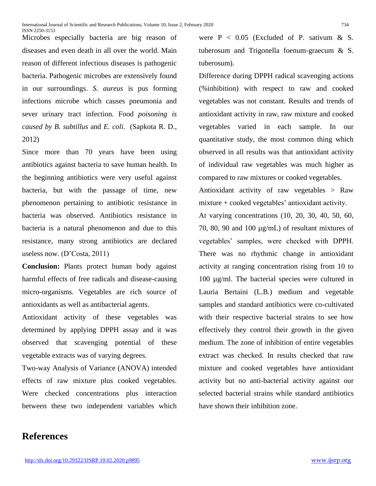Microbes especially bacteria are big reason of diseases and even death in all over the world. Main reason of different infectious diseases is pathogenic bacteria. Pathogenic microbes are extensively found in our surroundings. *S. aureus* is pus forming infections microbe which causes pneumonia and sever urinary tract infection. Food *poisoning is caused by B. subtillus* and *E. coli*. (Sapkota R. D., 2012)

ISSN 2250-3153

Since more than 70 years have been using antibiotics against bacteria to save human health. In the beginning antibiotics were very useful against bacteria, but with the passage of time, new phenomenon pertaining to antibiotic resistance in bacteria was observed. Antibiotics resistance in bacteria is a natural phenomenon and due to this resistance, many strong antibiotics are declared useless now. (D'Costa, 2011)

**Conclusion:** Plants protect human body against harmful effects of free radicals and disease-causing micro-organisms. Vegetables are rich source of antioxidants as well as antibacterial agents.

Antioxidant activity of these vegetables was determined by applying DPPH assay and it was observed that scavenging potential of these vegetable extracts was of varying degrees.

Two-way Analysis of Variance (ANOVA) intended effects of raw mixture plus cooked vegetables. Were checked concentrations plus interaction between these two independent variables which were  $P < 0.05$  (Excluded of P. sativum & S. tuberosum and Trigonella foenum-graecum & S. tuberosum).

Difference during DPPH radical scavenging actions (%inhibition) with respect to raw and cooked vegetables was not constant. Results and trends of antioxidant activity in raw, raw mixture and cooked vegetables varied in each sample. In our quantitative study, the most common thing which observed in all results was that antioxidant activity of individual raw vegetables was much higher as compared to raw mixtures or cooked vegetables.

Antioxidant activity of raw vegetables > Raw mixture + cooked vegetables' antioxidant activity.

At varying concentrations (10, 20, 30, 40, 50, 60, 70, 80, 90 and 100 µg/mL) of resultant mixtures of vegetables' samples, were checked with DPPH. There was no rhythmic change in antioxidant activity at ranging concentration rising from 10 to 100 µg/ml. The bacterial species were cultured in Lauria Bertaini (L.B.) medium and vegetable samples and standard antibiotics were co-cultivated with their respective bacterial strains to see how effectively they control their growth in the given medium. The zone of inhibition of entire vegetables extract was checked. In results checked that raw mixture and cooked vegetables have antioxidant activity but no anti-bacterial activity against our selected bacterial strains while standard antibiotics have shown their inhibition zone.

## **References**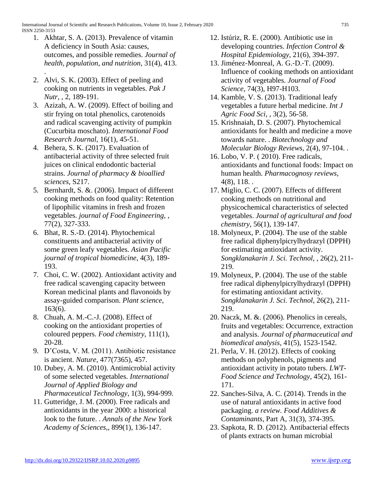International Journal of Scientific and Research Publications, Volume 10, Issue 2, February 2020 735 ISSN 2250-3153

- 1. Akhtar, S. A. (2013). Prevalence of vitamin A deficiency in South Asia: causes, outcomes, and possible remedies. *Journal of health, population, and nutrition*, 31(4), 413. .
- 2. Alvi, S. K. (2003). Effect of peeling and cooking on nutrients in vegetables. *Pak J Nutr,* , 2, 189-191.
- 3. Azizah, A. W. (2009). Effect of boiling and stir frying on total phenolics, carotenoids and radical scavenging activity of pumpkin (Cucurbita moschato). *International Food Research Journal*, 16(1), 45-51.
- 4. Behera, S. K. (2017). Evaluation of antibacterial activity of three selected fruit juices on clinical endodontic bacterial strains. *Journal of pharmacy & bioallied sciences*, S217.
- 5. Bernhardt, S. &. (2006). Impact of different cooking methods on food quality: Retention of lipophilic vitamins in fresh and frozen vegetables. *journal of Food Engineering,* , 77(2), 327-333.
- 6. Bhat, R. S.-D. (2014). Phytochemical constituents and antibacterial activity of some green leafy vegetables. *Asian Pacific journal of tropical biomedicine*, 4(3), 189- 193.
- 7. Choi, C. W. (2002). Antioxidant activity and free radical scavenging capacity between Korean medicinal plants and flavonoids by assay-guided comparison. *Plant science*, 163(6).
- 8. Chuah, A. M.-C.-J. (2008). Effect of cooking on the antioxidant properties of coloured peppers. *Food chemistry*, 111(1), 20-28.
- 9. D'Costa, V. M. (2011). Antibiotic resistance is ancient. *Nature*, 477(7365), 457.
- 10. Dubey, A. M. (2010). Antimicrobial activity of some selected vegetables. *International Journal of Applied Biology and Pharmaceutical Technology*, 1(3), 994-999.
- 11. Gutteridge, J. M. (2000). Free radicals and antioxidants in the year 2000: a historical look to the future. . *Annals of the New York Academy of Sciences,*, 899(1), 136-147.
- 12. Istúriz, R. E. (2000). Antibiotic use in developing countries. *Infection Control & Hospital Epidemiology*, 21(6), 394-397.
- 13. Jiménez‐Monreal, A. G.‐D.‐T. (2009). Influence of cooking methods on antioxidant activity of vegetables. *Journal of Food Science*, 74(3), H97-H103.
- 14. Kamble, V. S. (2013). Traditional leafy vegetables a future herbal medicine. *Int J Agric Food Sci,* , 3(2), 56-58.
- 15. Krishnaiah, D. S. (2007). Phytochemical antioxidants for health and medicine a move towards nature. . *Biotechnology and Molecular Biology Reviews*, 2(4), 97-104. .
- 16. Lobo, V. P. ( 2010). Free radicals, antioxidants and functional foods: Impact on human health. *Pharmacognosy reviews*, 4(8), 118. .
- 17. Miglio, C. C. (2007). Effects of different cooking methods on nutritional and physicochemical characteristics of selected vegetables. *Journal of agricultural and food chemistry*, 56(1), 139-147.
- 18. Molyneux, P. (2004). The use of the stable free radical diphenylpicrylhydrazyl (DPPH) for estimating antioxidant activity. *Songklanakarin J. Sci. Technol,* , 26(2), 211- 219.
- 19. Molyneux, P. (2004). The use of the stable free radical diphenylpicrylhydrazyl (DPPH) for estimating antioxidant activity. *Songklanakarin J. Sci. Technol*, 26(2), 211- 219.
- 20. Naczk, M. &. (2006). Phenolics in cereals, fruits and vegetables: Occurrence, extraction and analysis. *Journal of pharmaceutical and biomedical analysis*, 41(5), 1523-1542.
- 21. Perla, V. H. (2012). Effects of cooking methods on polyphenols, pigments and antioxidant activity in potato tubers. *LWT-Food Science and Technology*, 45(2), 161- 171.
- 22. Sanches-Silva, A. C. (2014). Trends in the use of natural antioxidants in active food packaging. *a review. Food Additives & Contaminants*, Part A, 31(3), 374-395.
- 23. Sapkota, R. D. (2012). Antibacterial effects of plants extracts on human microbial